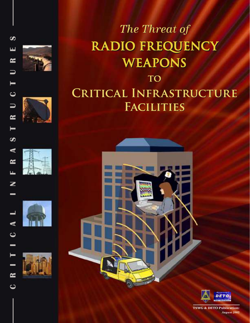









# The Threat of RADIO FREQUENCY **WEAPONS** TO CRITICAL INFRASTRUCTURE

**FACILITIES** 



**TSWG & DETO Publication:** *August 2005*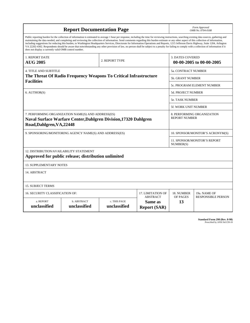| <b>Report Documentation Page</b>                                                                                                                                                                                                                                                                                                                                                                                                                                                                                                                                                                                                                                                                                                                                                                                                                                   |                                    |                              |                                                   |                                                     | Form Approved<br>OMB No. 0704-0188                 |  |  |
|--------------------------------------------------------------------------------------------------------------------------------------------------------------------------------------------------------------------------------------------------------------------------------------------------------------------------------------------------------------------------------------------------------------------------------------------------------------------------------------------------------------------------------------------------------------------------------------------------------------------------------------------------------------------------------------------------------------------------------------------------------------------------------------------------------------------------------------------------------------------|------------------------------------|------------------------------|---------------------------------------------------|-----------------------------------------------------|----------------------------------------------------|--|--|
| Public reporting burden for the collection of information is estimated to average 1 hour per response, including the time for reviewing instructions, searching existing data sources, gathering and<br>maintaining the data needed, and completing and reviewing the collection of information. Send comments regarding this burden estimate or any other aspect of this collection of information,<br>including suggestions for reducing this burden, to Washington Headquarters Services, Directorate for Information Operations and Reports, 1215 Jefferson Davis Highway, Suite 1204, Arlington<br>VA 22202-4302. Respondents should be aware that notwithstanding any other provision of law, no person shall be subject to a penalty for failing to comply with a collection of information if it<br>does not display a currently valid OMB control number. |                                    |                              |                                                   |                                                     |                                                    |  |  |
| 1. REPORT DATE<br><b>AUG 2005</b>                                                                                                                                                                                                                                                                                                                                                                                                                                                                                                                                                                                                                                                                                                                                                                                                                                  |                                    | 2. REPORT TYPE               |                                                   | <b>3. DATES COVERED</b><br>00-00-2005 to 00-00-2005 |                                                    |  |  |
| <b>4. TITLE AND SUBTITLE</b>                                                                                                                                                                                                                                                                                                                                                                                                                                                                                                                                                                                                                                                                                                                                                                                                                                       |                                    |                              |                                                   |                                                     | <b>5a. CONTRACT NUMBER</b>                         |  |  |
| The Threat Of Radio Frequency Weapons To Critical Infrastructure<br><b>Facilities</b>                                                                                                                                                                                                                                                                                                                                                                                                                                                                                                                                                                                                                                                                                                                                                                              |                                    |                              |                                                   |                                                     | 5b. GRANT NUMBER                                   |  |  |
|                                                                                                                                                                                                                                                                                                                                                                                                                                                                                                                                                                                                                                                                                                                                                                                                                                                                    |                                    |                              |                                                   |                                                     | 5c. PROGRAM ELEMENT NUMBER                         |  |  |
| 6. AUTHOR(S)                                                                                                                                                                                                                                                                                                                                                                                                                                                                                                                                                                                                                                                                                                                                                                                                                                                       |                                    |                              |                                                   |                                                     | <b>5d. PROJECT NUMBER</b>                          |  |  |
|                                                                                                                                                                                                                                                                                                                                                                                                                                                                                                                                                                                                                                                                                                                                                                                                                                                                    |                                    |                              |                                                   |                                                     | <b>5e. TASK NUMBER</b>                             |  |  |
|                                                                                                                                                                                                                                                                                                                                                                                                                                                                                                                                                                                                                                                                                                                                                                                                                                                                    |                                    |                              |                                                   |                                                     | 5f. WORK UNIT NUMBER                               |  |  |
| 7. PERFORMING ORGANIZATION NAME(S) AND ADDRESS(ES)<br>Naval Surface Warfare Center, Dahlgren Division, 17320 Dahlgren<br>Road, Dahlgren, VA, 22448                                                                                                                                                                                                                                                                                                                                                                                                                                                                                                                                                                                                                                                                                                                 |                                    |                              |                                                   |                                                     | 8. PERFORMING ORGANIZATION<br><b>REPORT NUMBER</b> |  |  |
| 9. SPONSORING/MONITORING AGENCY NAME(S) AND ADDRESS(ES)                                                                                                                                                                                                                                                                                                                                                                                                                                                                                                                                                                                                                                                                                                                                                                                                            |                                    |                              |                                                   |                                                     | 10. SPONSOR/MONITOR'S ACRONYM(S)                   |  |  |
|                                                                                                                                                                                                                                                                                                                                                                                                                                                                                                                                                                                                                                                                                                                                                                                                                                                                    |                                    |                              |                                                   |                                                     | 11. SPONSOR/MONITOR'S REPORT<br>NUMBER(S)          |  |  |
| 12. DISTRIBUTION/AVAILABILITY STATEMENT<br>Approved for public release; distribution unlimited                                                                                                                                                                                                                                                                                                                                                                                                                                                                                                                                                                                                                                                                                                                                                                     |                                    |                              |                                                   |                                                     |                                                    |  |  |
| <b>13. SUPPLEMENTARY NOTES</b>                                                                                                                                                                                                                                                                                                                                                                                                                                                                                                                                                                                                                                                                                                                                                                                                                                     |                                    |                              |                                                   |                                                     |                                                    |  |  |
| 14. ABSTRACT                                                                                                                                                                                                                                                                                                                                                                                                                                                                                                                                                                                                                                                                                                                                                                                                                                                       |                                    |                              |                                                   |                                                     |                                                    |  |  |
| <b>15. SUBJECT TERMS</b>                                                                                                                                                                                                                                                                                                                                                                                                                                                                                                                                                                                                                                                                                                                                                                                                                                           |                                    |                              |                                                   |                                                     |                                                    |  |  |
| 16. SECURITY CLASSIFICATION OF:                                                                                                                                                                                                                                                                                                                                                                                                                                                                                                                                                                                                                                                                                                                                                                                                                                    | 17. LIMITATION OF                  | 18. NUMBER                   | 19a. NAME OF                                      |                                                     |                                                    |  |  |
| a. REPORT<br>unclassified                                                                                                                                                                                                                                                                                                                                                                                                                                                                                                                                                                                                                                                                                                                                                                                                                                          | <b>b. ABSTRACT</b><br>unclassified | c. THIS PAGE<br>unclassified | <b>ABSTRACT</b><br>Same as<br><b>Report (SAR)</b> | OF PAGES<br>13                                      | <b>RESPONSIBLE PERSON</b>                          |  |  |

| <b>Standard Form 298 (Rev. 8-98)</b> |                               |  |  |
|--------------------------------------|-------------------------------|--|--|
|                                      | Prescribed by ANSI Std Z39-18 |  |  |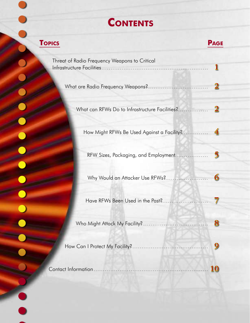# **CONTENTS**

 $\overline{\phantom{a}}$ 

 $\overline{\phantom{0}}$ 

| <b>TOPICS</b>                                  | <b>PAGE</b> |
|------------------------------------------------|-------------|
| Threat of Radio Frequency Weapons to Critical  |             |
|                                                |             |
| What can RFWs Do to Infrastructure Facilities? |             |
| How Might RFWs Be Used Against a Facility?     |             |
| RFW Sizes, Packaging, and Employment           |             |
| Why Would an Attacker Use RFWs?                |             |
| Have RFWs Been Used in the Past?               |             |
|                                                |             |
|                                                |             |
|                                                |             |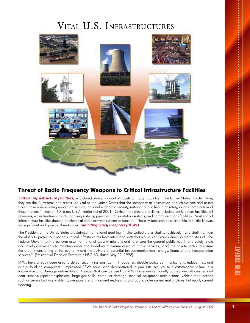## VITAL U.S. INFRASTRUCTURES



## **Threat of Radio Frequency Weapons to Critical Infrastructure Facilities**

*Critical infrastructure facilities*, as pictured above, support all facets of modern day life in the United States. By definition, they are the "...systems and assets...so vital to the United States that the incapacity or destruction of such systems and assets would have a debilitating impact on security, national economic security, national public health or safety, or any combination of those matters." [Section 1016 (e), U.S.A. Patriot Act of 2001] Critical infrastructure facilities include electric power facilities, oil refineries, water treatment plants, banking systems, pipelines, transportation systems, and communications facilities. Most critical infrastructure facilities depend on electrical and electronic systems to function. These systems can be susceptible to a little-known, yet significant and growing threat called *radio frequency weapons (RFWs)*.

The President of the United States proclaimed it a national goal that "…the United States shall …[achieve]… and shall maintain the ability to protect our nation's critical infrastructures from intentional acts that would significantly diminish the abilities of: the Federal Government to perform essential national security missions and to ensure the general public health and safety; state and local governments to maintain order and to deliver minimum essential public services; [and] the private sector to ensure the orderly functioning of the economy and the delivery of essential telecommunications, energy, financial and transportation services." [Presidential Decision Directive / NSC-63, dated May 22, 1998]

RFWs have already been used to defeat security systems, commit robberies, disable police communications, induce fires, and disrupt banking computers. Improvised RFWs have been demonstrated to jam satellites, cause a catastrophic failure in a locomotive and damage automobiles. Devices that can be used as RFWs have unintentionally caused aircraft crashes and near-crashes, pipeline explosions, large gas spills, computer damage, medical equipment malfunctions, vehicle malfunctions such as severe braking problems, weapons pre-ignition and explosions, and public water system malfunctions that nearly caused flooding.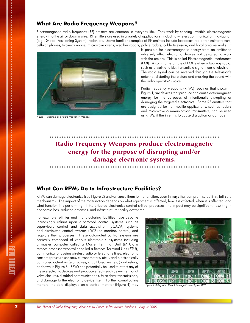### **What Are Radio Frequency Weapons?**

Electromagnetic radio frequency (RF) emitters are common in everyday life. They work by sending invisible electromagnetic energy into the air or down a wire. RF emitters are used in a variety of applications, including wireless communication, navigation (e.g., Global Positioning System), radar, etc. Some familiar examples of RF emitters include broadcast radio transmitter towers, cellular phones, two-way radios, microwave ovens, weather radars, police radars, cable television, and local area networks. It



Figure 1 - Example of a Radio Frequency Weapon

is possible for electromagnetic energy from an emitter to adversely affect electronic devices not designed to work with the emitter. This is called Electromagnetic Interference (EMI). A common example of EMI is when a two-way radio, such as a walkie-talkie, transmits a signal near a television. The radio signal can be received through the television's antenna, distorting the picture and masking the sound with the radio operator's voice.

Radio frequency weapons (RFWs), such as that shown in Figure 1, are devices that produce and emit electromagnetic energy for the purposes of intentionally disrupting or damaging the targeted electronics. Some RF emitters that are designed for non-hostile applications, such as radars and microwave communication transmitters, can be used as RFWs, if the intent is to cause disruption or damage.

## Radio Frequency Weapons produce electromagnetic energy for the purpose of disrupting and/or damage electronic systems.

### **What Can RFWs Do to Infrastructure Facilities?**

RFWs can damage electronics (see Figure 2) and/or cause them to malfunction, even in ways that compromise built-in, fail-safe mechanisms. The impact of the malfunction depends on what equipment is affected, how it is affected, when it is affected, and what function it is performing. If the affected electronics control critical processes, the impact may be significant, resulting in economic loss, reduced defenses, and infrastructure facility downtime.

For example, utilities and manufacturing facilities have become increasingly reliant upon automated control systems such as supervisory control and data acquisition (SCADA) systems and distributed control systems (DCS) to monitor, control, and regulate their processes. These automated control systems are basically composed of various electronic subsystems including a master computer called a Master Terminal Unit (MTU), a remote processor/controller called a Remote Terminal Unit (RTU), communications using wireless radio or telephone lines, electronic sensors (pressure sensors, current meters, etc.), and electronically controlled actuators (e.g. valves, circuit breakers, etc.) and relays, as shown in Figure 3. RFWs can potentially be used to affect any of these electronic devices and produce effects such as unintentional valve closures, disabled communications, false data transmissions, and damage to the electronic device itself. Further complicating matters, the data displayed on a control monitor (Figure 4) may Figure 2 - Integrated Circuit Damage Caused by an RFW

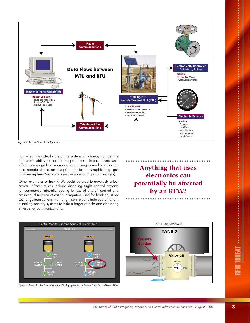

Figure 3 - Typical SCADA Configuration

not reflect the actual state of the system, which may hamper the operator's ability to correct the problems. Impacts from such effects can range from nuisance (e.g. having to send a technician to a remote site to reset equipment) to catastrophic (e.g. gas pipeline ruptures/explosions and mass electric power outages).

Other examples of how RFWs could be used to adversely affect critical infrastructures include disabling flight control systems for commercial aircraft, leading to loss of aircraft control and crashing; disruption of critical computers used for banking, stock exchange transactions, traffic light control, and train coordination; disabling security systems to hide a larger attack; and disrupting emergency communications.

Anything that uses electronics can potentially be affected by an RFW!



Figure 4 - Example of a Control Monitor Displaying Incorrect System State Caused by an RFW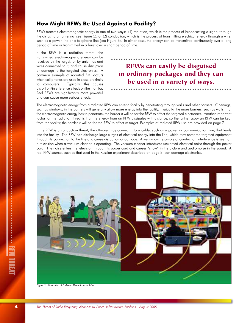### **How Might RFWs Be Used Against a Facility?**

RFWs transmit electromagnetic energy in one of two ways: (1) radiation, which is the process of broadcasting a signal through the air using an antenna (see Figure 5), or (2) conduction, which is the process of transmitting electrical energy through a wire, such as a power line or a telephone line (see Figure 6). In either case, the energy can be transmitted continuously over a long period of time or transmitted in a burst over a short period of time.

If the RFW is a radiation threat, the transmitted electromagnetic energy can be received by the target, or by antennas and wires connected to it, and cause disruption or damage to the targeted electronics. A common example of radiated EMI occurs when cell phones are used in close proximity to computers. Typically, this causes distortion/interference effects on the monitor. Real RFWs are significantly more powerful and can cause more serious effects.

## RFWs can easily be disguised in ordinary packages and they can be used in a variety of ways.

The electromagnetic energy from a radiated RFW can enter a facility by penetrating through walls and other barriers. Openings, such as windows, in the barriers will generally allow more energy into the facility. Typically, the more barriers, such as walls, that the electromagnetic energy has to penetrate, the harder it will be for the RFW to affect the targeted electronics. Another important factor for the radiation threat is that the energy from an RFW dissipates with distance, so the farther away an RFW can be kept from the facility; the harder it will be for the RFW to affect its target. Examples of radiated RFW use are provided on page 7.

If the RFW is a conduction threat, the attacker may connect it to a cable, such as a power or communication line, that leads into the facility. The RFW can discharge large surges of electrical energy into the line, which may enter the targeted equipment through its connection to the line and cause disruption or damage. A well-known example of conduction interference is seen on a television when a vacuum cleaner is operating. The vacuum cleaner introduces unwanted electrical noise through the power cord. The noise enters the television through its power cord and causes "snow" in the picture and audio noise in the sound. A real RFW source, such as that used in the Russian experiment described on page 8, can damage electronics.



Figure 5 - Illustration of Radiated Threat from an RFW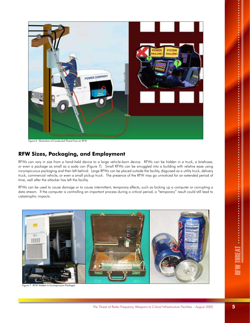

Figure 6 - Illustration of Conducted Threat from an RFW

### **RFW Sizes, Packaging, and Employment**

RFWs can vary in size from a hand-held device to a large vehicle-born device. RFWs can be hidden in a truck, a briefcase, or even a package as small as a soda can (Figure 7). Small RFWs can be smuggled into a building with relative ease using inconspicuous packaging and then left behind. Large RFWs can be placed outside the facility, disguised as a utility truck, delivery truck, commercial vehicle, or even a small pickup truck. The presence of the RFW may go unnoticed for an extended period of time, well after the attacker has left the facility.

RFWs can be used to cause damage or to cause intermittent, temporary effects, such as locking up a computer or corrupting a data stream. If the computer is controlling an important process during a critical period, a "temporary" result could still lead to catastrophic impacts.



RFW Hidden in Inconspicuous Packages

RFW THREAT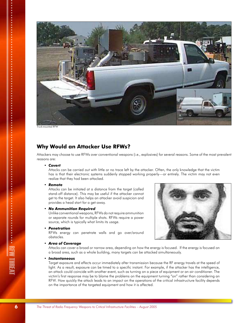

Truck-mounted RFW

### **Why Would an Attacker Use RFWs?**

Attackers may choose to use RFWs over conventional weapons (i.e., explosives) for several reasons. Some of the most prevalent reasons are:

#### *• Covert*

Attacks can be carried out with little or no trace left by the attacker. Often, the only knowledge that the victim has is that their electronic systems suddenly stopped working properly—or entirely. The victim may not even realize that they had been attacked.

#### *• Remote*

Attacks can be initiated at a distance from the target (called stand-off distance). This may be useful if the attacker cannot get to the target. It also helps an attacker avoid suspicion and provides a head start for a get-away.

#### *• No Ammunition Required*

Unlike conventional weapons, RFWs do not require ammunition or separate rounds for multiple shots. RFWs require a power source, which is typically what limits its usage.

#### *• Penetration*

RFWs energy can penetrate walls and go over/around obstacles.

#### *• Area of Coverage*

Attacks can cover a broad or narrow area, depending on how the energy is focused. If the energy is focused on a broad area, such as a whole building, many targets can be attacked simultaneously.

#### *• Instantaneous*

Target exposure and effects occur immediately after transmission because the RF energy travels at the speed of light. As a result, exposure can be timed to a specific instant. For example, if the attacker has the intelligence, an attack could coincide with another event, such as turning on a piece of equipment or an air conditioner. The victim's first response may be to blame the problems on the equipment turning "on" rather than considering an RFW. How quickly the attack leads to an impact on the operations of the critical infrastructure facility depends on the importance of the targeted equipment and how it is affected.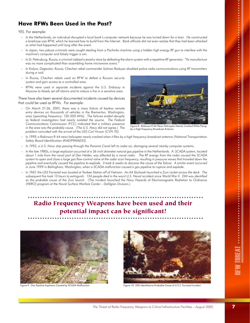## **Have RFWs Been Used in the Past?**

YES. For example:

- *In the Netherlands, an individual disrupted a local bank's computer network because he was turned down for a loan. He constructed a briefcase-size RFW, which he learned how to build from the Internet. Bank officials did not even realize that they had been attacked or what had happened until long after the event.*
- *In Japan, two yakuza criminals were caught stealing from a Pachinko machine using a hidden high energy RF gun to interfere with the machine's computer and falsely trigger a win.*
- In St. Petersburg, Russia, a criminal robbed a jewelry store by defeating the alarm system with a repetitive RF generator. "Its manufacture *was no more complicated than assembling home microwave ovens."*
- *In Kizlyar, Dagestan, Russia, Chechen rebel commander Salman Raduyev disabled police radio communications using RF transmitters during a raid.*
- *In Russia, Chechen rebels used an RFW to defeat a Russian security system and gain access to a controlled area.*
- *RFWs were used in separate incidents against the U.S. Embassy in Moscow to falsely set off alarms and to induce a fire in a sensitive area.*

There have also been several documented incidents caused by devices that could be used as RFWs. For example:

*– On March 21-26, 2001, there was a mass failure of keyless remote entry devices on thousands of vehicles in the Bremerton, Washington, area (operating frequency: 150-500 MHz). The failures ended abruptly as federal investigators had nearly isolated the source. The Federal Communications Commission (FCC) indicated that a military presence in the area was the probably cause. (The U.S. Navy did not agree.) The problem coincided with the arrival of the USS Carl Vinson (CVN 70).*



Figure 8 - Robinson R-44 News Helicopter Nearly Crashed While Flying by a High-Frequency Broadcast Antenna

- *In 1999, a Robinson R-44 news helicopter nearly crashed when it flew by a high frequency broadcast antenna (National Transportation Safety Board Identification #IAD99WA033).*
- *In 1992, a U.S. Navy ship passing through the Panama Canal left its radar on, damaging several nearby computer systems.*
- *In the late 1980s, a large explosion occurred at a 36-inch diameter natural gas pipeline in the Netherlands. A SCADA system, located about 1 mile from the naval port of Den Helder, was affected by a naval radar. The RF energy from the radar caused the SCADA*  system to open and close a large gas flow-control valve at the radar scan frequency, resulting in pressure waves that traveled down the *pipeline and eventually caused the pipeline to explode. It took 6 weeks to discover the cause of the failure. A similar event occurred in June 1999 in Bellingham, Washington, when a SCADA malfunction caused a gas pipeline to rupture and explode.*
- *In 1967, the USS Forrestal was located at Yankee Station off of Vietnam. An A4 Skyhawk launched a Zuni rocket across the deck. The subsequent fire took 13 hours to extinguish. 134 people died in the worst U.S. Naval accident since World War II. EMI was identified*  as the probable cause of the Zuni launch. (The incident launched the Navy Hazards of Electromagnetic Radiation to Ordnance *(HERO) program at the Naval Surface Warfare Center – Dahlgren Division.).*

## Radio Frequency Weapons have been used and their potential impact can be significant!





Figure 9 - Gas Pipeline Explosion Caused by SCADA Malfunction Figure 10 - EMI Identified as Probable Cause of U.S.S. Forrestal Incident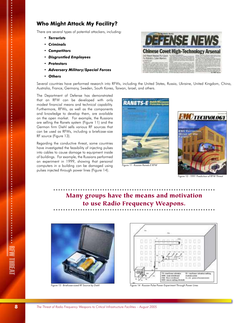### **Who Might Attack My Facility?**

There are several types of potential attackers, including:

- *Terrorists*
- *Criminals*
- *Competitors*
- *Disgruntled Employees*
- *Protestors*
- *Adversary Military/Special Forces*
- *Others*



Several countries have performed research into RFWs, including the United States, Russia, Ukraine, United Kingdom, China, Australia, France, Germany, Sweden, South Korea, Taiwan, Israel, and others.

The Department of Defense has demonstrated that an RFW can be developed with only modest financial means and technical capability. Furthermore, RFWs, as well as the components and knowledge to develop them, are available on the open market. For example, the Russians are selling the Ranets system (Figure 11) and the German firm Diehl sells various RF sources that can be used as RFWs, including a briefcase-size RF source (Figure 13).

Regarding the conductive threat, some countries have investigated the feasibility of injecting pulses into cables to cause damage to equipment inside of buildings. For example, the Russians performed an experiment in 1999, showing that personal computers in a building can be damaged using pulses injected through power lines (Figure 14).





 $F = 12 - 1991$  Prediction of RFW

## Many groups have the means and motivation to use Radio Frequency Weapons.





Figure 13 - Briefcase-sized RF Source by Diehl Figure 14 - Russian Pulse Power Experiment Through Power Lines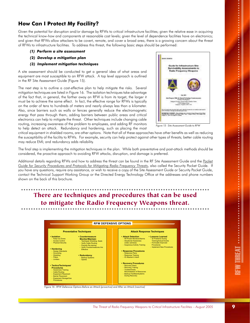## **How Can I Protect My Facility?**

Given the potential for disruption and/or damage by RFWs to critical infrastructure facilities; given the relative ease in acquiring the technical know-how and components at reasonable cost levels; given the level of dependence facilities have on electronics; and given that RFWs allow attackers to be covert, remote, and cover a broad area, there is a growing concern about the threat of RFWs to infrastructure facilities. To address this threat, the following basic steps should be performed:

- *(1) Perform a site assessment*
- *(2) Develop a mitigation plan*
- *(3) Implement mitigation techniques*

A site assessment should be conducted to get a general idea of what areas and equipment are most susceptible to an RFW attack. A top level approach is outlined in the RF Site Assessment Guide (Figure 15).

The next step is to outline a cost-effective plan to help mitigate the risks. Several mitigation techniques are listed in Figure 16. The isolation techniques take advantage of the fact that, in general, the farther away an RFW is from its target, the larger it must be to achieve the same effect. In fact, the effective range for RFWs is typically on the order of tens to hundreds of meters and nearly always less than a kilometer. Also, since barriers such as walls or fences generally reduce the electromagnetic energy that pass through them, adding barriers between public areas and critical electronics can help to mitigate the threat. Other techniques include changing cable routing, increasing awareness of the problem to employees, and adding RF monitors to help detect an attack. Redundancy and hardening, such as placing the most



Figure 15 - Site Assessment Guide to RFW

critical equipment in shielded rooms, are other options. Note that all of these approaches have other benefits as well as reducing the susceptibility of the facility to RFWs. For example, security can help protect against other types of threats; better cable routing may reduce EMI; and redundancy adds reliability.

The final step is implementing the mitigation techniques in the plan. While both preventative and post-attack methods should be considered, the proactive approach to avoiding RFW attacks, disruption, and damage is preferred.

Additional details regarding RFWs and how to address the threat can be found in the RF Site Assessment Guide and the *Pocket Guide for Security Procedures and Protocols for Mitigating Radio Frequency Threats*, also called the Security Pocket Guide. If you have any questions, require any assistance, or wish to receive a copy of the Site Assessment Guide or Security Pocket Guide, contact the Technical Support Working Group or the Directed Energy Technology Office at the addresses and phone numbers shown on the back of this brochure.

## There are techniques and procedures that can be used to mitigate the Radio Frequency Weapons threat.



Figure 16 - RFW Defensive Options Before an Attack (proactive) and After an Attack (reactive)

RFW THREAT